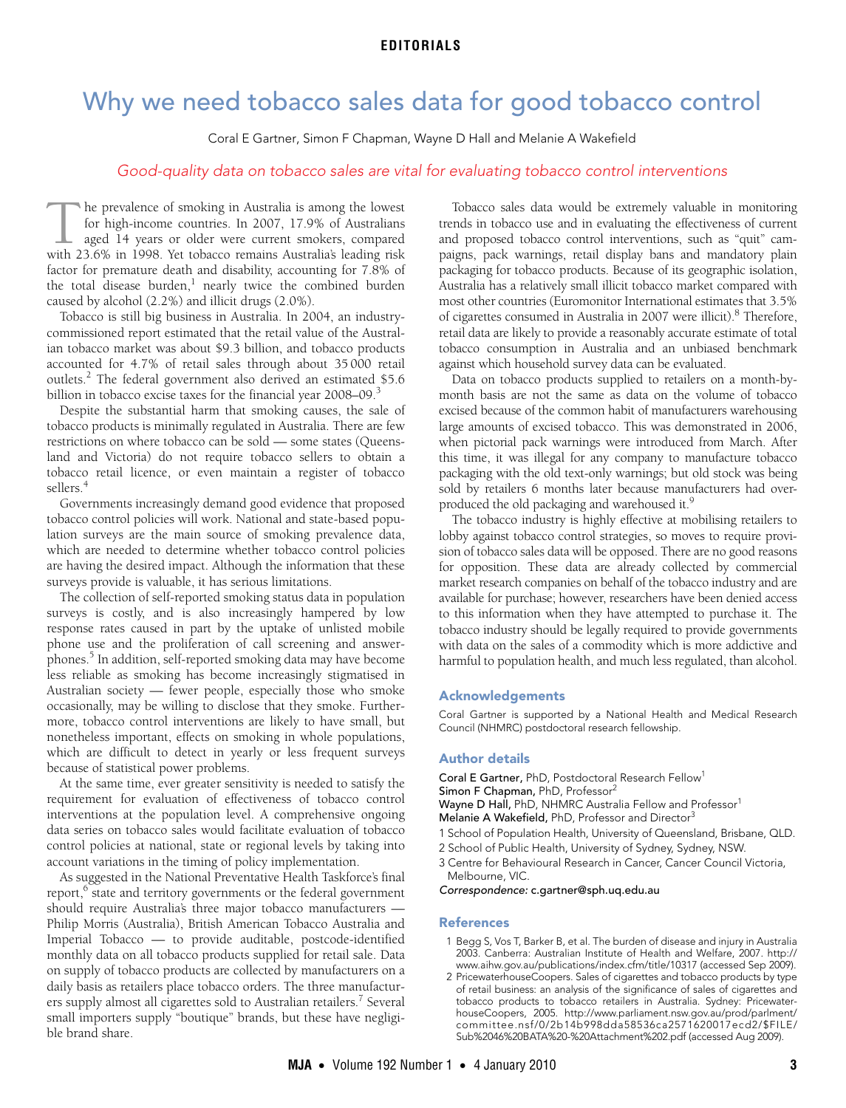# Why we need tobacco sales data for good tobacco control

Coral E Gartner, Simon F Chapman, Wayne D Hall and Melanie A Wakefield

## Good-quality data on tobacco sales are vital for evaluating tobacco control interventions

he prevalence of smoking in Australia is among the lowest for high-income countries. In 2007, 17.9% of Australians aged 14 years or older were current smokers, compared The prevalence of smoking in Australia is among the lowest<br>for high-income countries. In 2007, 17.9% of Australians<br>aged 14 years or older were current smokers, compared<br>with 23.6% in 1998. Yet tobacco remains Australia's factor for premature death and disability, accounting for 7.8% of the total disease burden,<sup>1</sup> nearly twice the combined burden caused by alcohol (2.2%) and illicit drugs (2.0%).

Tobacco is still big business in Australia. In 2004, an industrycommissioned report estimated that the retail value of the Australian tobacco market was about \$9.3 billion, and tobacco products accounted for 4.7% of retail sales through about 35 000 retail outlets.<sup>2</sup> The federal government also derived an estimated \$5.6 billion in tobacco excise taxes for the financial year 2008–09.<sup>3</sup>

Despite the substantial harm that smoking causes, the sale of tobacco products is minimally regulated in Australia. There are few restrictions on where tobacco can be sold — some states (Queensland and Victoria) do not require tobacco sellers to obtain a tobacco retail licence, or even maintain a register of tobacco sellers.<sup>4</sup>

Governments increasingly demand good evidence that proposed tobacco control policies will work. National and state-based population surveys are the main source of smoking prevalence data, which are needed to determine whether tobacco control policies are having the desired impact. Although the information that these surveys provide is valuable, it has serious limitations.

The collection of self-reported smoking status data in population surveys is costly, and is also increasingly hampered by low response rates caused in part by the uptake of unlisted mobile phone use and the proliferation of call screening and answerphones.<sup>5</sup> In addition, self-reported smoking data may have become less reliable as smoking has become increasingly stigmatised in Australian society — fewer people, especially those who smoke occasionally, may be willing to disclose that they smoke. Furthermore, tobacco control interventions are likely to have small, but nonetheless important, effects on smoking in whole populations, which are difficult to detect in yearly or less frequent surveys because of statistical power problems.

At the same time, ever greater sensitivity is needed to satisfy the requirement for evaluation of effectiveness of tobacco control interventions at the population level. A comprehensive ongoing data series on tobacco sales would facilitate evaluation of tobacco control policies at national, state or regional levels by taking into account variations in the timing of policy implementation.

As suggested in the National Preventative Health Taskforce's final report,<sup>6</sup> state and territory governments or the federal government should require Australia's three major tobacco manufacturers — Philip Morris (Australia), British American Tobacco Australia and Imperial Tobacco — to provide auditable, postcode-identified monthly data on all tobacco products supplied for retail sale. Data on supply of tobacco products are collected by manufacturers on a daily basis as retailers place tobacco orders. The three manufacturers supply almost all cigarettes sold to Australian retailers.<sup>7</sup> Several small importers supply "boutique" brands, but these have negligible brand share.

Tobacco sales data would be extremely valuable in monitoring trends in tobacco use and in evaluating the effectiveness of current and proposed tobacco control interventions, such as "quit" campaigns, pack warnings, retail display bans and mandatory plain packaging for tobacco products. Because of its geographic isolation, Australia has a relatively small illicit tobacco market compared with most other countries (Euromonitor International estimates that 3.5% of cigarettes consumed in Australia in 2007 were illicit).<sup>8</sup> Therefore, retail data are likely to provide a reasonably accurate estimate of total tobacco consumption in Australia and an unbiased benchmark against which household survey data can be evaluated.

Data on tobacco products supplied to retailers on a month-bymonth basis are not the same as data on the volume of tobacco excised because of the common habit of manufacturers warehousing large amounts of excised tobacco. This was demonstrated in 2006, when pictorial pack warnings were introduced from March. After this time, it was illegal for any company to manufacture tobacco packaging with the old text-only warnings; but old stock was being sold by retailers 6 months later because manufacturers had overproduced the old packaging and warehoused it.<sup>9</sup>

The tobacco industry is highly effective at mobilising retailers to lobby against tobacco control strategies, so moves to require provision of tobacco sales data will be opposed. There are no good reasons for opposition. These data are already collected by commercial market research companies on behalf of the tobacco industry and are available for purchase; however, researchers have been denied access to this information when they have attempted to purchase it. The tobacco industry should be legally required to provide governments with data on the sales of a commodity which is more addictive and harmful to population health, and much less regulated, than alcohol.

### Acknowledgements

Coral Gartner is supported by a National Health and Medical Research Council (NHMRC) postdoctoral research fellowship.

### Author details

Coral E Gartner, PhD, Postdoctoral Research Fellow<sup>1</sup> Simon F Chapman, PhD, Professor<sup>2</sup>

Wayne D Hall, PhD, NHMRC Australia Fellow and Professor<sup>1</sup>

Melanie A Wakefield, PhD, Professor and Director<sup>3</sup>

- 1 School of Population Health, University of Queensland, Brisbane, QLD.
- 2 School of Public Health, University of Sydney, Sydney, NSW.
- 3 Centre for Behavioural Research in Cancer, Cancer Council Victoria, Melbourne, VIC.

Correspondence: c.gartner@sph.uq.edu.au

#### References

- 1 Begg S, Vos T, Barker B, et al. The burden of disease and injury in Australia 2003. Canberra: Australian Institute of Health and Welfare, 2007. http:// www.aihw.gov.au/publications/index.cfm/title/10317 (accessed Sep 2009).
- 2 PricewaterhouseCoopers. Sales of cigarettes and tobacco products by type of retail business: an analysis of the significance of sales of cigarettes and tobacco products to tobacco retailers in Australia. Sydney: PricewaterhouseCoopers, 2005. http://www.parliament.nsw.gov.au/prod/parlment/ committee.nsf/0/2b14b998dda58536ca2571620017ecd2/\$FILE/ Sub%2046%20BATA%20-%20Attachment%202.pdf (accessed Aug 2009).